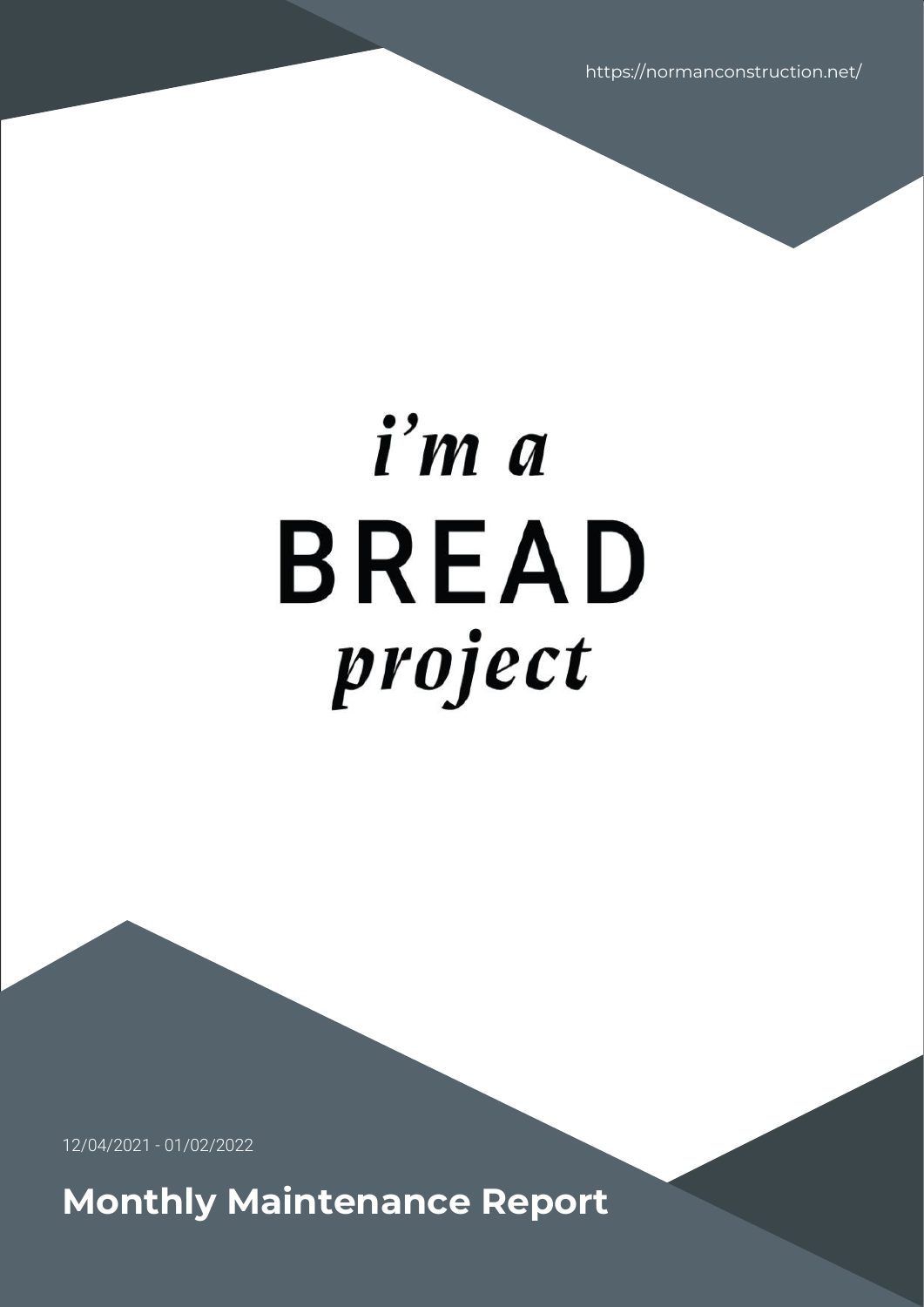https://normanconstruction.net/

# i'm a **BREAD** project

12/04/2021 - 01/02/2022

**Monthly Maintenance Report**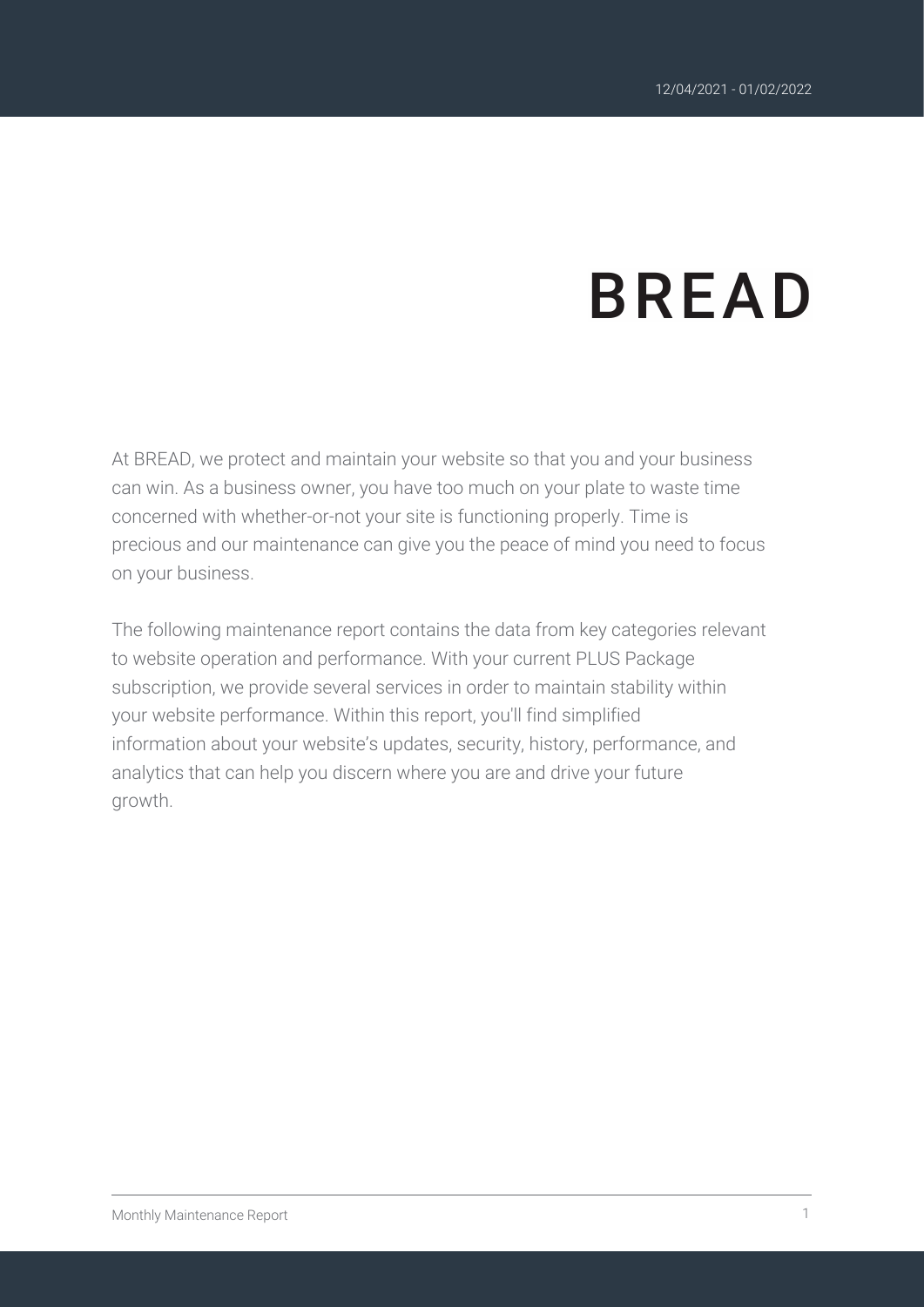# **BREAD**

At BREAD, we protect and maintain your website so that you and your business can win. As a business owner, you have too much on your plate to waste time concerned with whether-or-not your site is functioning properly. Time is precious and our maintenance can give you the peace of mind you need to focus on your business.

The following maintenance report contains the data from key categories relevant to website operation and performance. With your current PLUS Package subscription, we provide several services in order to maintain stability within your website performance. Within this report, you'll find simplified information about your website's updates, security, history, performance, and analytics that can help you discern where you are and drive your future growth.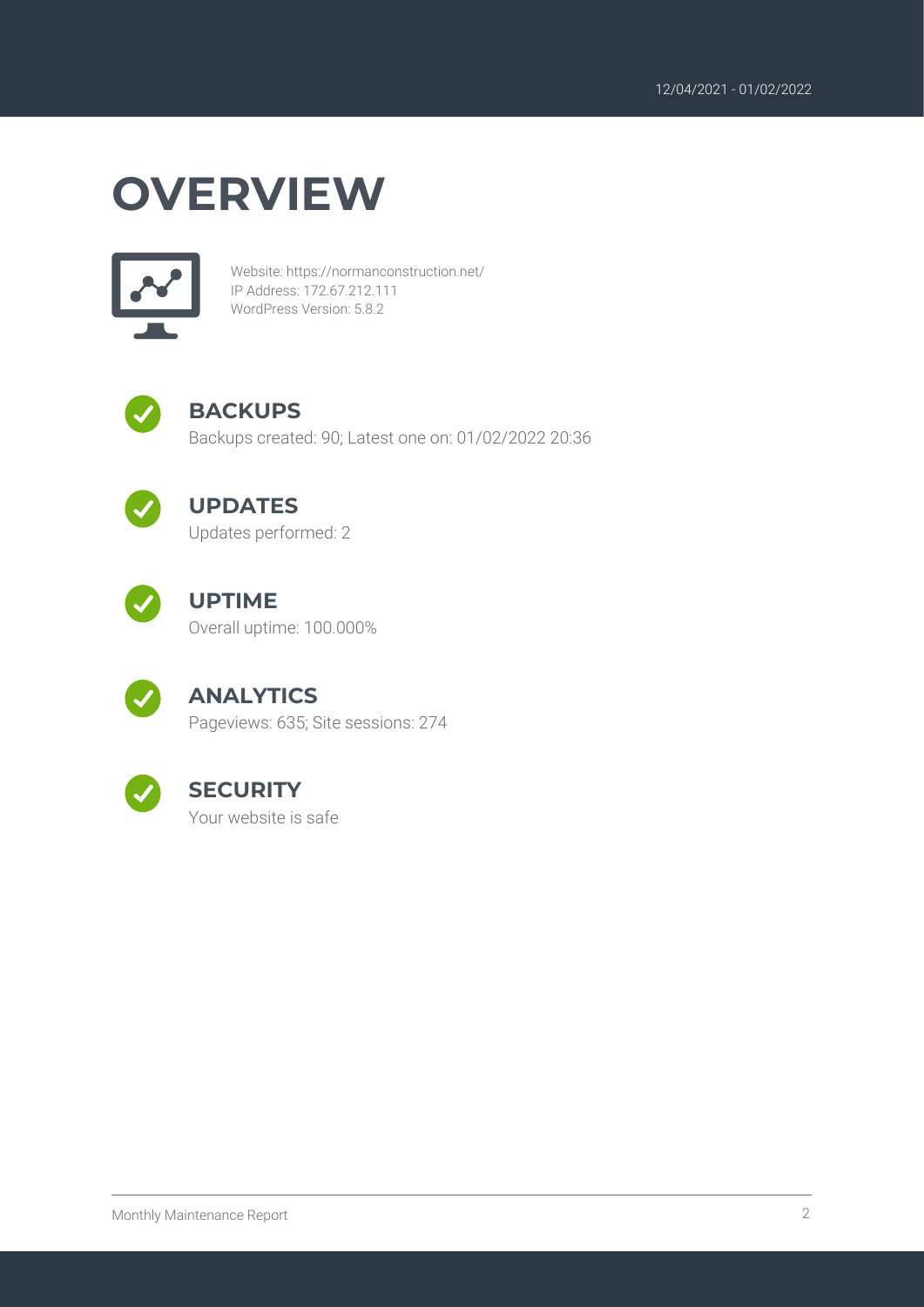## **OVERVIEW**



Website: https://normanconstruction.net/ IP Address: 172.67.212.111 WordPress Version: 5.8.2



#### **BACKUPS**

Backups created: 90; Latest one on: 01/02/2022 20:36



#### **UPDATES**

Updates performed: 2



#### **UPTIME**

Overall uptime: 100.000%



#### **ANALYTICS**

Pageviews: 635; Site sessions: 274



#### **SECURITY**

Your website is safe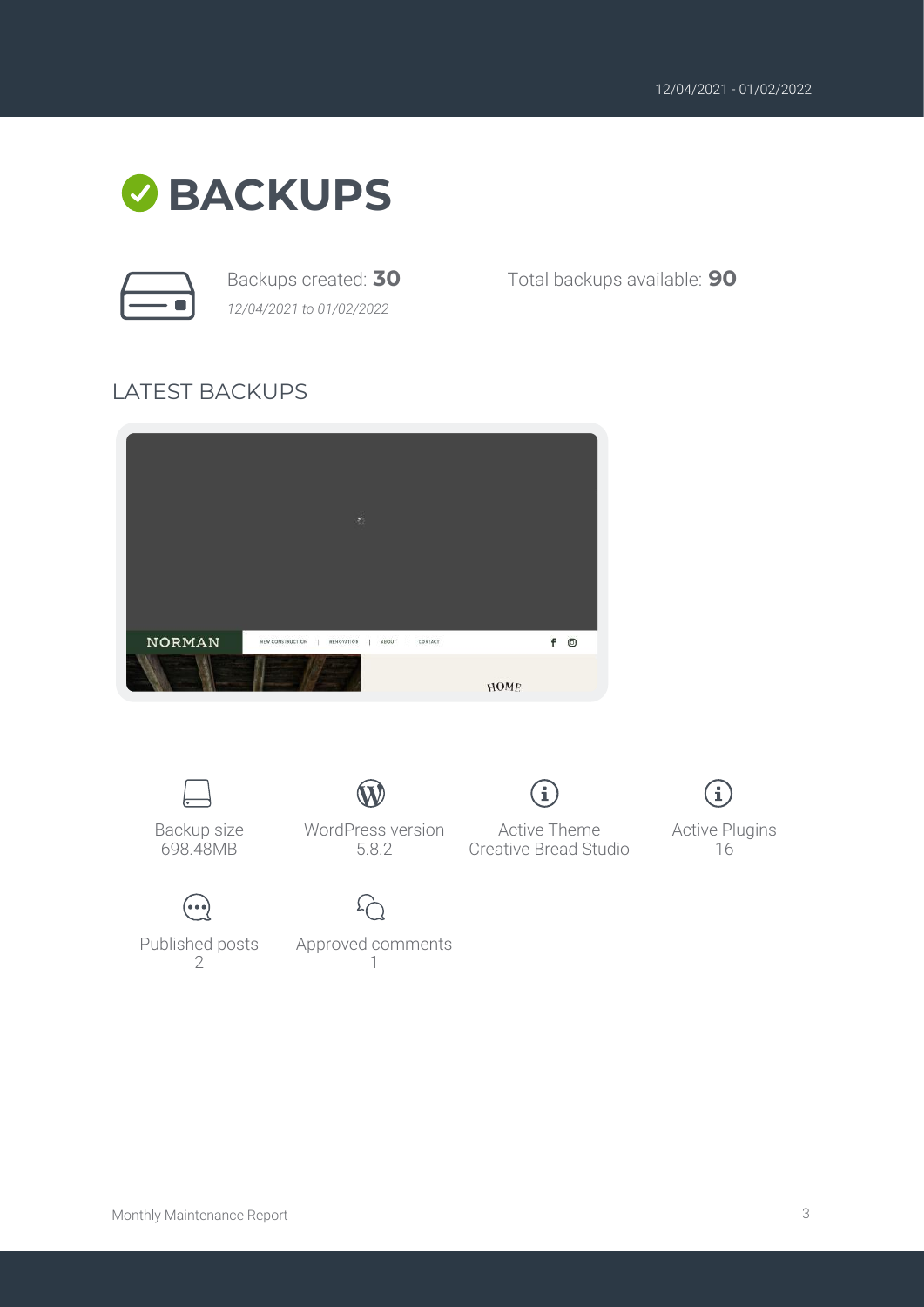

*12/04/2021 to 01/02/2022*

Backups created: **30** Total backups available: **90**

#### LATEST BACKUPS



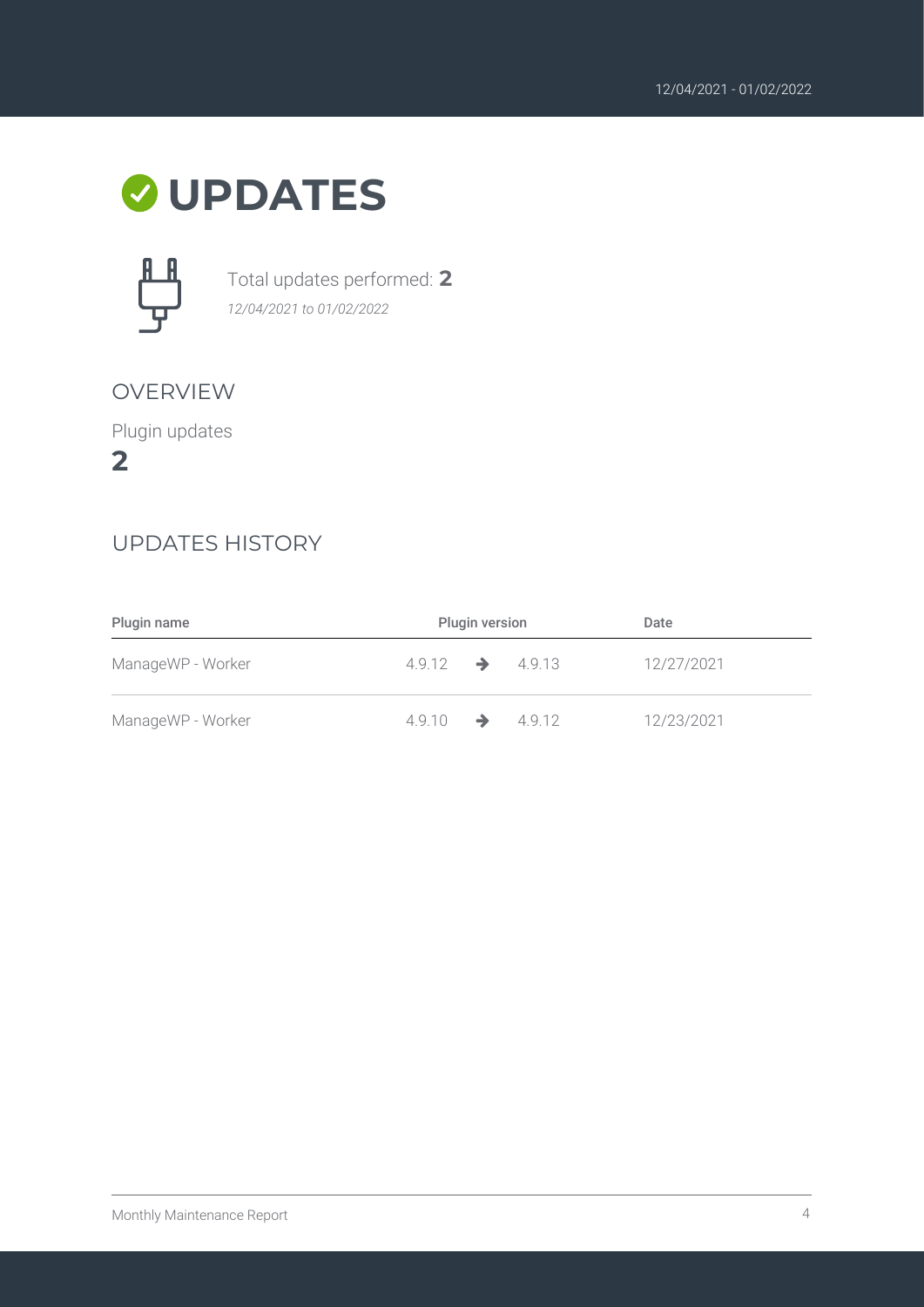### **UPDATES**



Total updates performed: **2** *12/04/2021 to 01/02/2022*

#### OVERVIEW

Plugin updates

**2**

#### UPDATES HISTORY

| Plugin name       | <b>Plugin version</b>       |  | Date       |
|-------------------|-----------------------------|--|------------|
| ManageWP - Worker | $4.9.12 \rightarrow 4.9.13$ |  | 12/27/2021 |
| ManageWP - Worker | $4.9.10 \rightarrow 4.9.12$ |  | 12/23/2021 |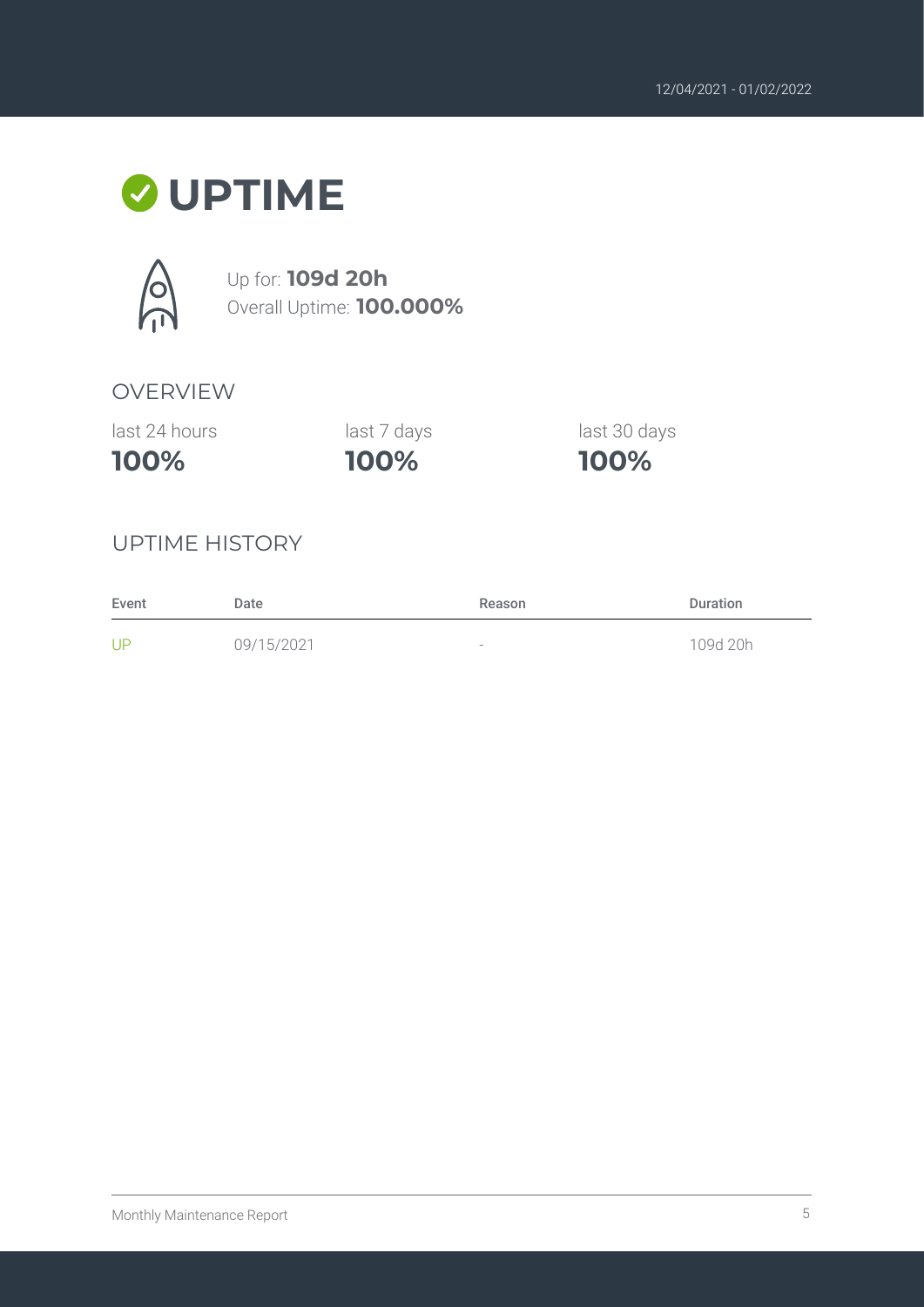## **UPTIME**



Up for: **109d 20h** Overall Uptime: **100.000%**

#### OVERVIEW

last 24 hours

**100%**

**100%** last 7 days last 30 days

**100%**

#### UPTIME HISTORY

| Event | Date       | Reason                   | <b>Duration</b> |
|-------|------------|--------------------------|-----------------|
| UP    | 09/15/2021 | $\overline{\phantom{a}}$ | 109d 20h        |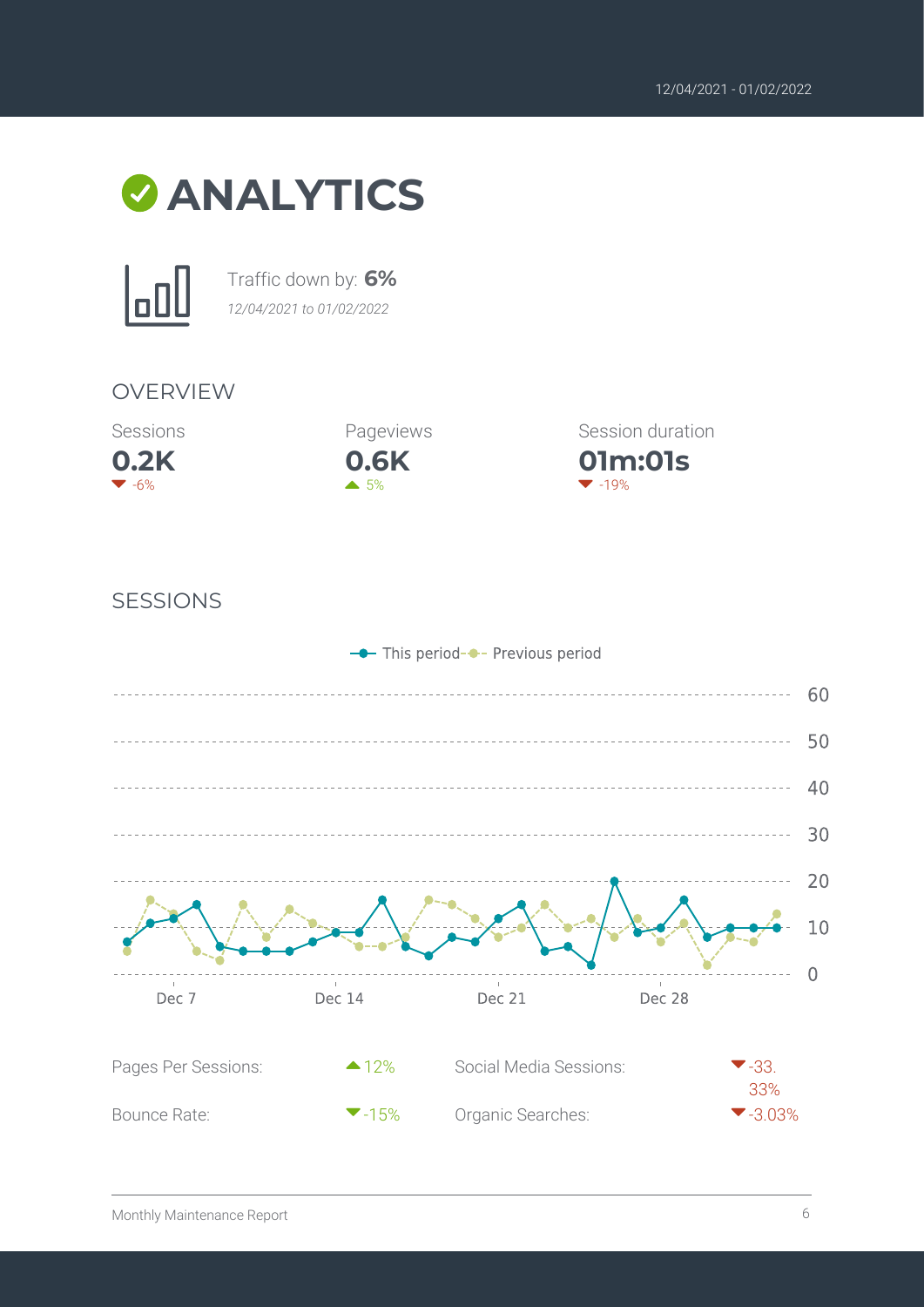



Traffic down by: **6%** *12/04/2021 to 01/02/2022*

#### OVERVIEW





**01m:01s** Session duration  $-19%$ 

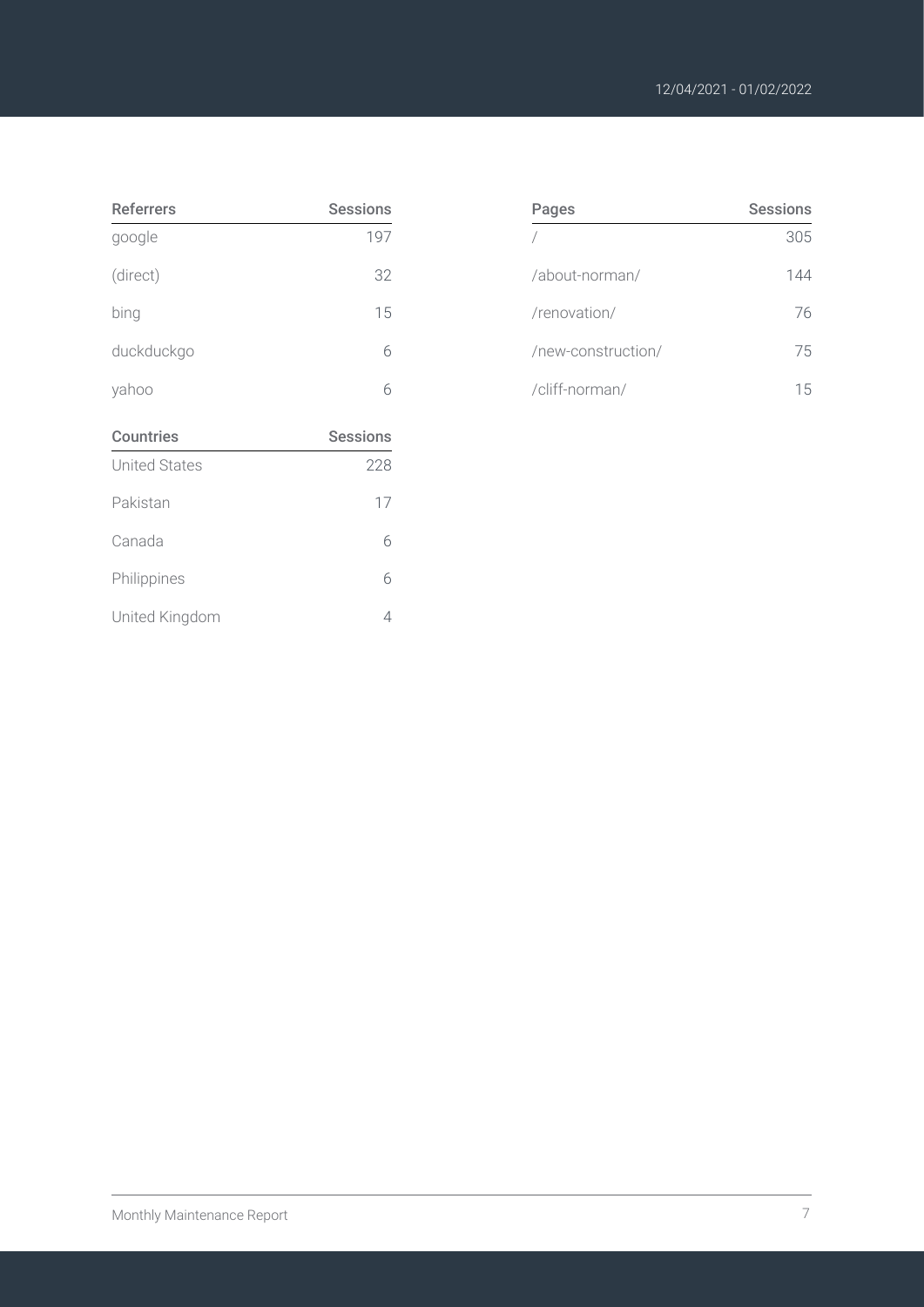| <b>Referrers</b>     | <b>Sessions</b> |
|----------------------|-----------------|
| google               | 197             |
| (direct)             | 32              |
| bing                 | 15              |
| duckduckgo           | 6               |
| yahoo                | 6               |
| <b>Countries</b>     | <b>Sessions</b> |
| <b>United States</b> | 228             |
| Pakistan             | 17              |
| Canada               | 6               |
| Philippines          | 6               |
|                      |                 |

| Pages              | <b>Sessions</b> |
|--------------------|-----------------|
|                    | 305             |
| /about-norman/     | 144             |
| /renovation/       | 76              |
| /new-construction/ | 75              |
| /cliff-norman/     | h               |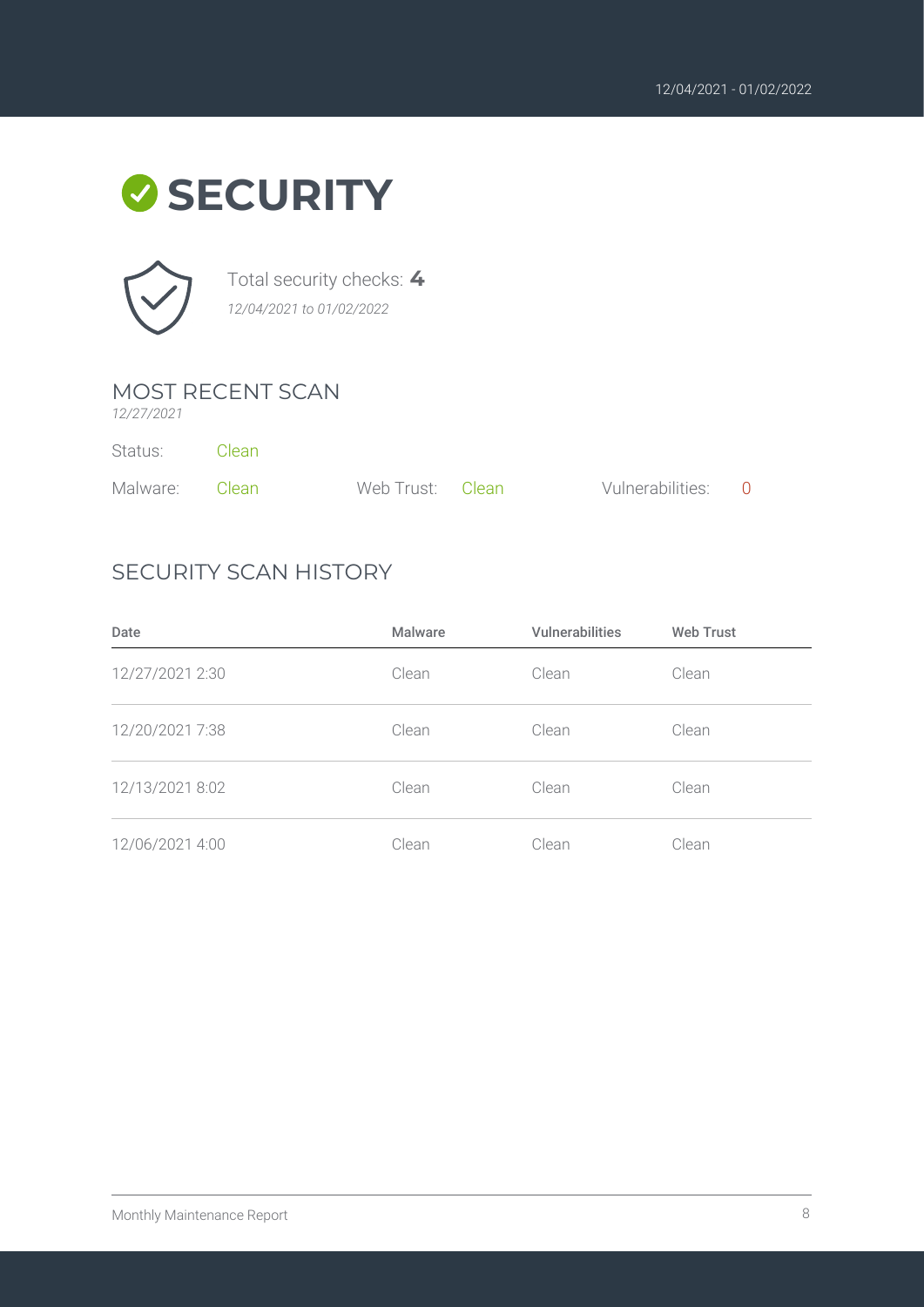



Total security checks: **4** *12/04/2021 to 01/02/2022*

#### MOST RECENT SCAN

*12/27/2021*

| Status:        | – Clean |                  |                    |  |
|----------------|---------|------------------|--------------------|--|
| Malware: Clean |         | Web Trust: Clean | Vulnerabilities: 0 |  |

#### SECURITY SCAN HISTORY

| Date            | <b>Malware</b> | <b>Vulnerabilities</b> | <b>Web Trust</b> |
|-----------------|----------------|------------------------|------------------|
| 12/27/2021 2:30 | Clean          | Clean                  | Clean            |
| 12/20/2021 7:38 | Clean          | Clean                  | Clean            |
| 12/13/2021 8:02 | Clean          | Clean                  | Clean            |
| 12/06/2021 4:00 | Clean          | Clean                  | Clean            |